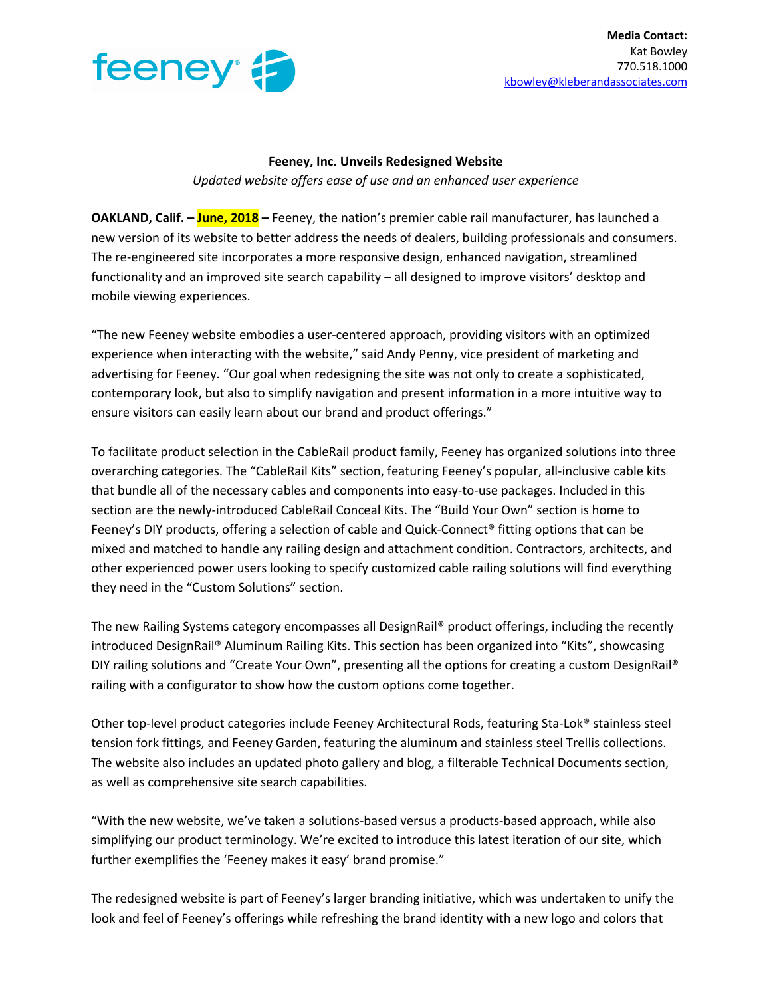

## **Feeney, Inc. Unveils Redesigned Website** *Updated website offers ease of use and an enhanced user experience*

**OAKLAND, Calif. – June, 2018 –** Feeney, the nation's premier cable rail manufacturer, has launched a new version of its website to better address the needs of dealers, building professionals and consumers. The re-engineered site incorporates a more responsive design, enhanced navigation, streamlined functionality and an improved site search capability – all designed to improve visitors' desktop and mobile viewing experiences.

"The new Feeney website embodies a user-centered approach, providing visitors with an optimized experience when interacting with the website," said Andy Penny, vice president of marketing and advertising for Feeney. "Our goal when redesigning the site was not only to create a sophisticated, contemporary look, but also to simplify navigation and present information in a more intuitive way to ensure visitors can easily learn about our brand and product offerings."

To facilitate product selection in the CableRail product family, Feeney has organized solutions into three overarching categories. The "CableRail Kits" section, featuring Feeney's popular, all-inclusive cable kits that bundle all of the necessary cables and components into easy-to-use packages. Included in this section are the newly-introduced CableRail Conceal Kits. The "Build Your Own" section is home to Feeney's DIY products, offering a selection of cable and Quick-Connect<sup>®</sup> fitting options that can be mixed and matched to handle any railing design and attachment condition. Contractors, architects, and other experienced power users looking to specify customized cable railing solutions will find everything they need in the "Custom Solutions" section.

The new Railing Systems category encompasses all DesignRail® product offerings, including the recently introduced DesignRail® Aluminum Railing Kits. This section has been organized into "Kits", showcasing DIY railing solutions and "Create Your Own", presenting all the options for creating a custom DesignRail® railing with a configurator to show how the custom options come together.

Other top-level product categories include Feeney Architectural Rods, featuring Sta-Lok® stainless steel tension fork fittings, and Feeney Garden, featuring the aluminum and stainless steel Trellis collections. The website also includes an updated photo gallery and blog, a filterable Technical Documents section, as well as comprehensive site search capabilities.

"With the new website, we've taken a solutions-based versus a products-based approach, while also simplifying our product terminology. We're excited to introduce this latest iteration of our site, which further exemplifies the 'Feeney makes it easy' brand promise."

The redesigned website is part of Feeney's larger branding initiative, which was undertaken to unify the look and feel of Feeney's offerings while refreshing the brand identity with a new logo and colors that